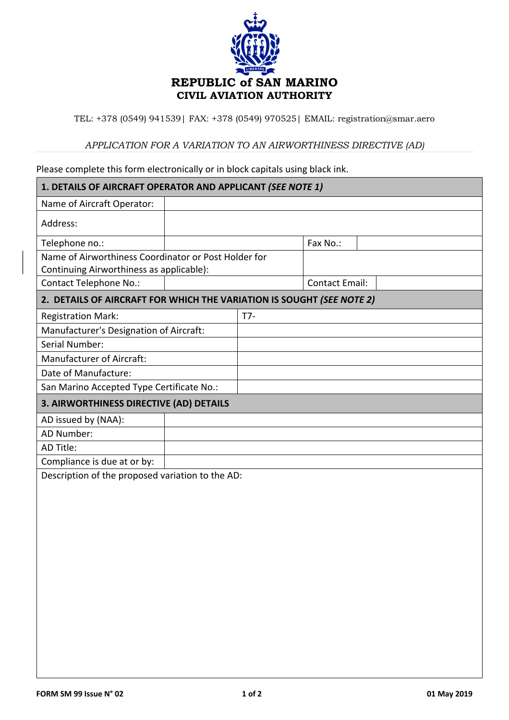

TEL: +378 (0549) 941539| FAX: +378 (0549) 970525| EMAIL: registration@smar.aero

## *APPLICATION FOR A VARIATION TO AN AIRWORTHINESS DIRECTIVE (AD)*

## Please complete this form electronically or in block capitals using black ink.

| 1. DETAILS OF AIRCRAFT OPERATOR AND APPLICANT (SEE NOTE 1)                                       |     |  |                       |  |  |  |
|--------------------------------------------------------------------------------------------------|-----|--|-----------------------|--|--|--|
| Name of Aircraft Operator:                                                                       |     |  |                       |  |  |  |
| Address:                                                                                         |     |  |                       |  |  |  |
| Telephone no.:                                                                                   |     |  | Fax No.:              |  |  |  |
| Name of Airworthiness Coordinator or Post Holder for<br>Continuing Airworthiness as applicable): |     |  |                       |  |  |  |
| <b>Contact Telephone No.:</b>                                                                    |     |  | <b>Contact Email:</b> |  |  |  |
| 2. DETAILS OF AIRCRAFT FOR WHICH THE VARIATION IS SOUGHT (SEE NOTE 2)                            |     |  |                       |  |  |  |
| <b>Registration Mark:</b>                                                                        | T7- |  |                       |  |  |  |
| Manufacturer's Designation of Aircraft:                                                          |     |  |                       |  |  |  |
| Serial Number:                                                                                   |     |  |                       |  |  |  |
| <b>Manufacturer of Aircraft:</b>                                                                 |     |  |                       |  |  |  |
| Date of Manufacture:                                                                             |     |  |                       |  |  |  |
| San Marino Accepted Type Certificate No.:                                                        |     |  |                       |  |  |  |
| 3. AIRWORTHINESS DIRECTIVE (AD) DETAILS                                                          |     |  |                       |  |  |  |
| AD issued by (NAA):                                                                              |     |  |                       |  |  |  |
| AD Number:                                                                                       |     |  |                       |  |  |  |
| AD Title:                                                                                        |     |  |                       |  |  |  |
| Compliance is due at or by:                                                                      |     |  |                       |  |  |  |
| Description of the proposed variation to the AD:                                                 |     |  |                       |  |  |  |
|                                                                                                  |     |  |                       |  |  |  |
|                                                                                                  |     |  |                       |  |  |  |
|                                                                                                  |     |  |                       |  |  |  |
|                                                                                                  |     |  |                       |  |  |  |